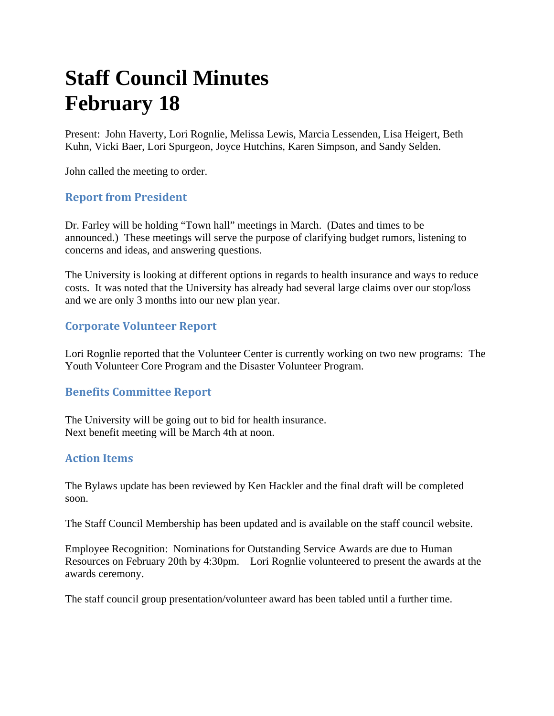# **Staff Council Minutes February 18**

Present: John Haverty, Lori Rognlie, Melissa Lewis, Marcia Lessenden, Lisa Heigert, Beth Kuhn, Vicki Baer, Lori Spurgeon, Joyce Hutchins, Karen Simpson, and Sandy Selden.

John called the meeting to order.

## **Report from President**

Dr. Farley will be holding "Town hall" meetings in March. (Dates and times to be announced.) These meetings will serve the purpose of clarifying budget rumors, listening to concerns and ideas, and answering questions.

The University is looking at different options in regards to health insurance and ways to reduce costs. It was noted that the University has already had several large claims over our stop/loss and we are only 3 months into our new plan year.

### **Corporate Volunteer Report**

Lori Rognlie reported that the Volunteer Center is currently working on two new programs: The Youth Volunteer Core Program and the Disaster Volunteer Program.

### **Benefits Committee Report**

The University will be going out to bid for health insurance. Next benefit meeting will be March 4th at noon.

### **Action Items**

The Bylaws update has been reviewed by Ken Hackler and the final draft will be completed soon.

The Staff Council Membership has been updated and is available on the staff council website.

Employee Recognition: Nominations for Outstanding Service Awards are due to Human Resources on February 20th by 4:30pm. Lori Rognlie volunteered to present the awards at the awards ceremony.

The staff council group presentation/volunteer award has been tabled until a further time.